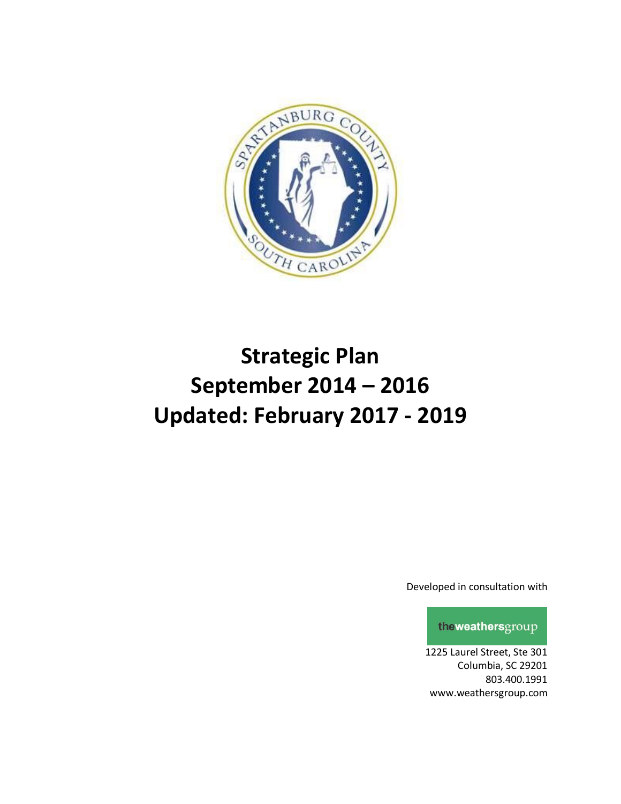

# **Strategic Plan September 2014 – 2016 Updated: February 2017 - 2019**

Developed in consultation with

theweathersgroup

1225 Laurel Street, Ste 301 Columbia, SC 29201 803.400.1991 www.weathersgroup.com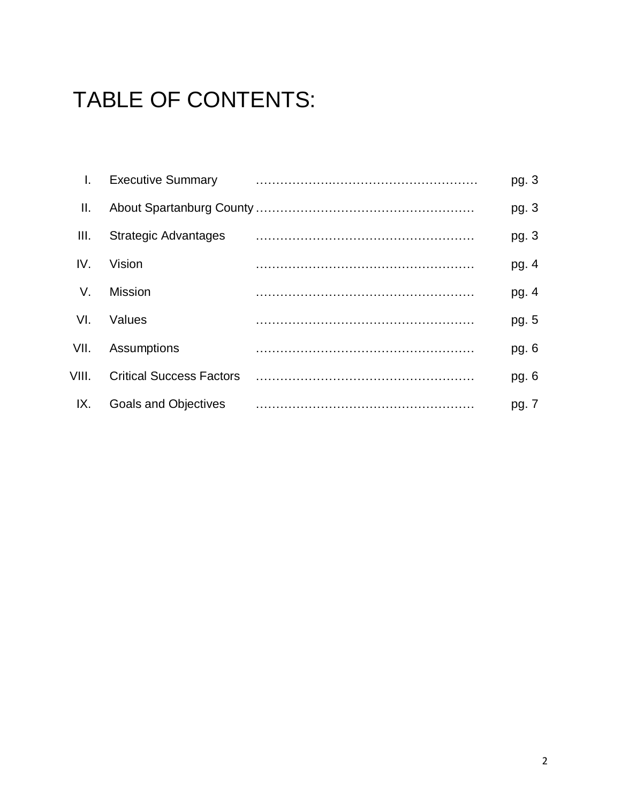# TABLE OF CONTENTS:

|       | <b>Executive Summary</b>        | pg. $3$ |
|-------|---------------------------------|---------|
| Ш.    |                                 | pg. $3$ |
| III.  | <b>Strategic Advantages</b>     | pg. 3   |
| IV.   | Vision                          | pg. $4$ |
| V.    | <b>Mission</b>                  | pg. 4   |
| VI.   | Values                          | pg. 5   |
| VII.  | Assumptions                     | pg. $6$ |
| VIII. | <b>Critical Success Factors</b> | pg. 6   |
| IX.   | <b>Goals and Objectives</b>     | pg. 7   |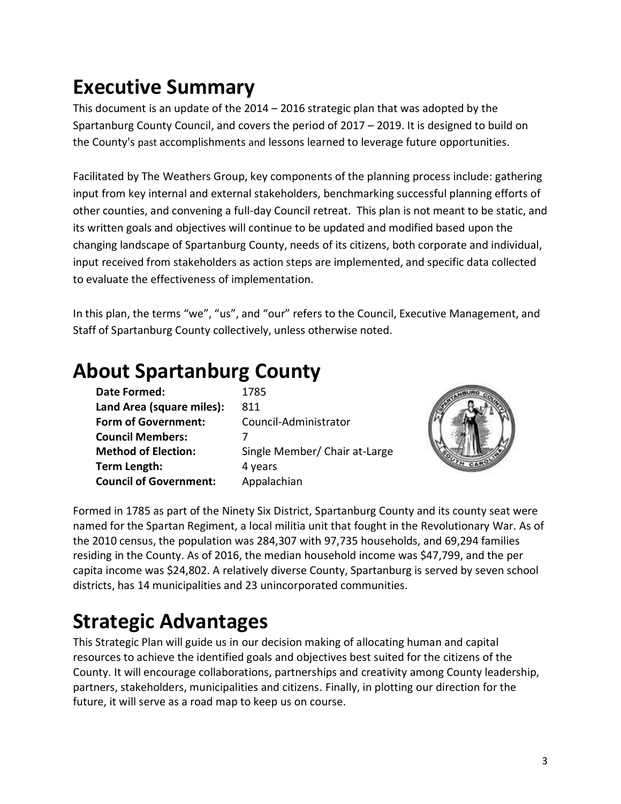## **Executive Summary**

This document is an update of the 2014 – 2016 strategic plan that was adopted by the Spartanburg County Council, and covers the period of 2017 – 2019. It is designed to build on the County's past accomplishments and lessons learned to leverage future opportunities.

Facilitated by The Weathers Group, key components of the planning process include: gathering input from key internal and external stakeholders, benchmarking successful planning efforts of other counties, and convening a full-day Council retreat. This plan is not meant to be static, and its written goals and objectives will continue to be updated and modified based upon the changing landscape of Spartanburg County, needs of its citizens, both corporate and individual, input received from stakeholders as action steps are implemented, and specific data collected to evaluate the effectiveness of implementation.

In this plan, the terms "we", "us", and "our" refers to the Council, Executive Management, and Staff of Spartanburg County collectively, unless otherwise noted.

### **About Spartanburg County**

| <b>Date Formed:</b>           | 1785                          |
|-------------------------------|-------------------------------|
| Land Area (square miles):     | 811                           |
| <b>Form of Government:</b>    | Council-Administrator         |
| <b>Council Members:</b>       |                               |
| <b>Method of Election:</b>    | Single Member/ Chair at-Large |
| Term Length:                  | 4 years                       |
| <b>Council of Government:</b> | Appalachian                   |



Formed in 1785 as part of the Ninety Six District, Spartanburg County and its county seat were named for the Spartan Regiment, a local militia unit that fought in the Revolutionary War. As of the 2010 census, the population was 284,307 with 97,735 households, and 69,294 families residing in the County. As of 2016, the median household income was \$47,799, and the per capita income was \$24,802. A relatively diverse County, Spartanburg is served by seven school districts, has 14 municipalities and 23 unincorporated communities.

## **Strategic Advantages**

This Strategic Plan will guide us in our decision making of allocating human and capital resources to achieve the identified goals and objectives best suited for the citizens of the County. It will encourage collaborations, partnerships and creativity among County leadership, partners, stakeholders, municipalities and citizens. Finally, in plotting our direction for the future, it will serve as a road map to keep us on course.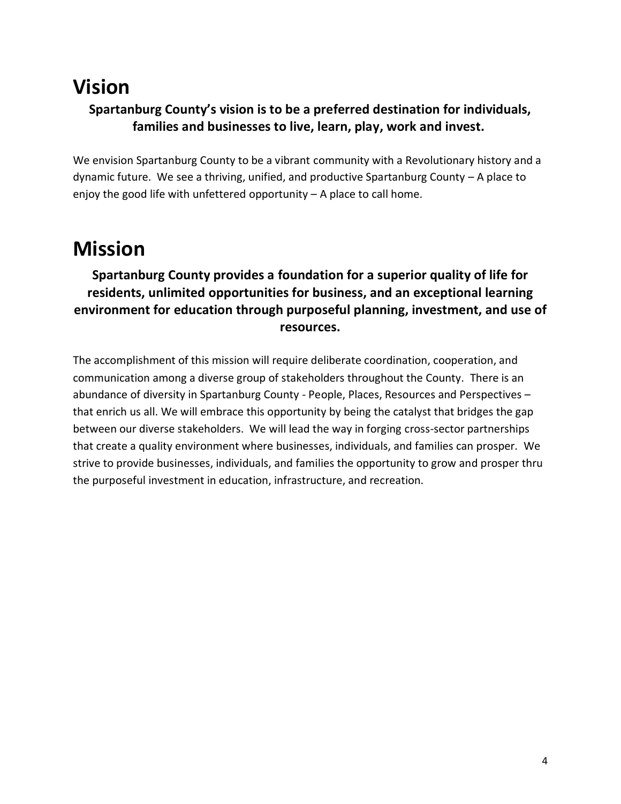### **Vision Spartanburg County's vision is to be a preferred destination for individuals, families and businesses to live, learn, play, work and invest.**

We envision Spartanburg County to be a vibrant community with a Revolutionary history and a dynamic future. We see a thriving, unified, and productive Spartanburg County – A place to enjoy the good life with unfettered opportunity – A place to call home.

### **Mission**

### **Spartanburg County provides a foundation for a superior quality of life for residents, unlimited opportunities for business, and an exceptional learning environment for education through purposeful planning, investment, and use of resources.**

The accomplishment of this mission will require deliberate coordination, cooperation, and communication among a diverse group of stakeholders throughout the County. There is an abundance of diversity in Spartanburg County - People, Places, Resources and Perspectives – that enrich us all. We will embrace this opportunity by being the catalyst that bridges the gap between our diverse stakeholders. We will lead the way in forging cross-sector partnerships that create a quality environment where businesses, individuals, and families can prosper. We strive to provide businesses, individuals, and families the opportunity to grow and prosper thru the purposeful investment in education, infrastructure, and recreation.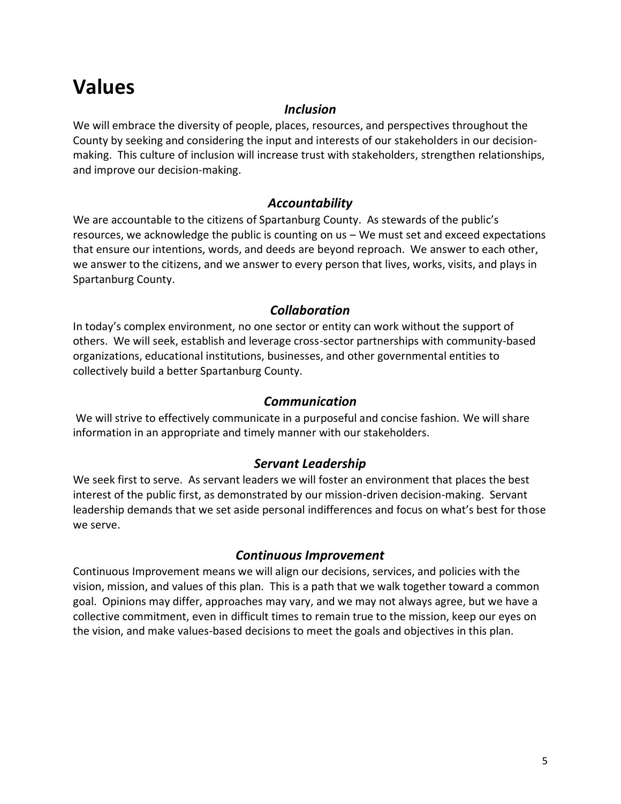## **Values**

#### *Inclusion*

We will embrace the diversity of people, places, resources, and perspectives throughout the County by seeking and considering the input and interests of our stakeholders in our decisionmaking. This culture of inclusion will increase trust with stakeholders, strengthen relationships, and improve our decision-making.

#### *Accountability*

We are accountable to the citizens of Spartanburg County. As stewards of the public's resources, we acknowledge the public is counting on us – We must set and exceed expectations that ensure our intentions, words, and deeds are beyond reproach. We answer to each other, we answer to the citizens, and we answer to every person that lives, works, visits, and plays in Spartanburg County.

#### *Collaboration*

In today's complex environment, no one sector or entity can work without the support of others. We will seek, establish and leverage cross-sector partnerships with community-based organizations, educational institutions, businesses, and other governmental entities to collectively build a better Spartanburg County.

#### *Communication*

We will strive to effectively communicate in a purposeful and concise fashion. We will share information in an appropriate and timely manner with our stakeholders.

#### *Servant Leadership*

We seek first to serve. As servant leaders we will foster an environment that places the best interest of the public first, as demonstrated by our mission-driven decision-making. Servant leadership demands that we set aside personal indifferences and focus on what's best for those we serve.

#### *Continuous Improvement*

Continuous Improvement means we will align our decisions, services, and policies with the vision, mission, and values of this plan. This is a path that we walk together toward a common goal. Opinions may differ, approaches may vary, and we may not always agree, but we have a collective commitment, even in difficult times to remain true to the mission, keep our eyes on the vision, and make values-based decisions to meet the goals and objectives in this plan.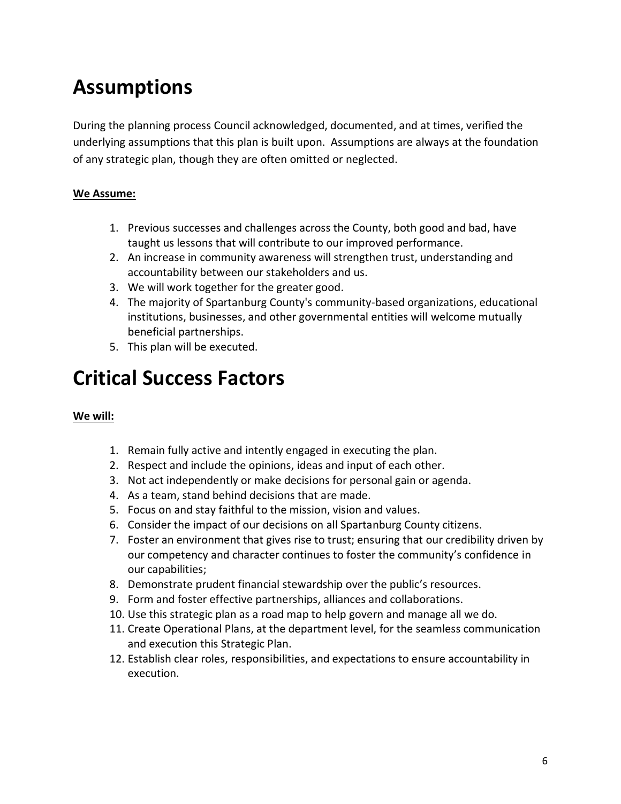## **Assumptions**

During the planning process Council acknowledged, documented, and at times, verified the underlying assumptions that this plan is built upon. Assumptions are always at the foundation of any strategic plan, though they are often omitted or neglected.

#### **We Assume:**

- 1. Previous successes and challenges across the County, both good and bad, have taught us lessons that will contribute to our improved performance.
- 2. An increase in community awareness will strengthen trust, understanding and accountability between our stakeholders and us.
- 3. We will work together for the greater good.
- 4. The majority of Spartanburg County's community-based organizations, educational institutions, businesses, and other governmental entities will welcome mutually beneficial partnerships.
- 5. This plan will be executed.

## **Critical Success Factors**

#### **We will:**

- 1. Remain fully active and intently engaged in executing the plan.
- 2. Respect and include the opinions, ideas and input of each other.
- 3. Not act independently or make decisions for personal gain or agenda.
- 4. As a team, stand behind decisions that are made.
- 5. Focus on and stay faithful to the mission, vision and values.
- 6. Consider the impact of our decisions on all Spartanburg County citizens.
- 7. Foster an environment that gives rise to trust; ensuring that our credibility driven by our competency and character continues to foster the community's confidence in our capabilities;
- 8. Demonstrate prudent financial stewardship over the public's resources.
- 9. Form and foster effective partnerships, alliances and collaborations.
- 10. Use this strategic plan as a road map to help govern and manage all we do.
- 11. Create Operational Plans, at the department level, for the seamless communication and execution this Strategic Plan.
- 12. Establish clear roles, responsibilities, and expectations to ensure accountability in execution.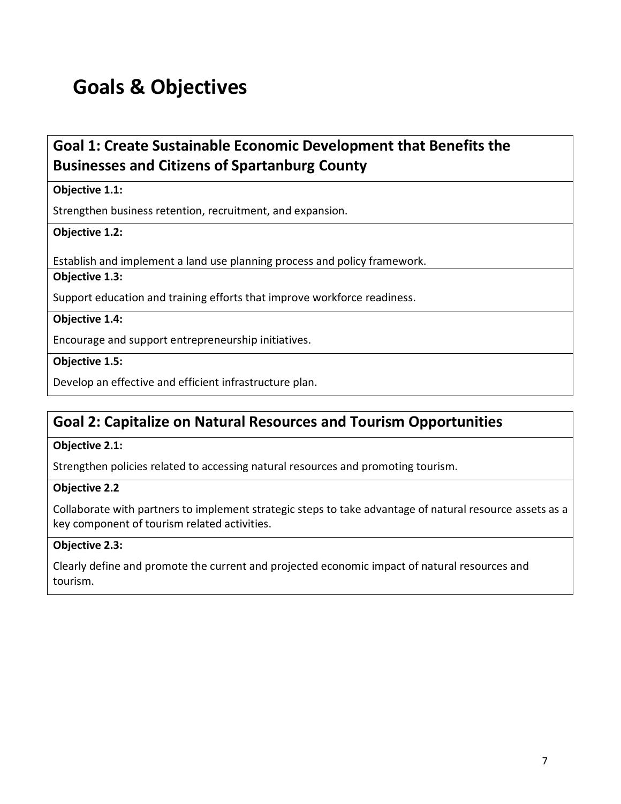## **Goals & Objectives**

### **Goal 1: Create Sustainable Economic Development that Benefits the Businesses and Citizens of Spartanburg County**

#### **Objective 1.1:**

Strengthen business retention, recruitment, and expansion.

#### **Objective 1.2:**

Establish and implement a land use planning process and policy framework.

#### **Objective 1.3:**

Support education and training efforts that improve workforce readiness.

#### **Objective 1.4:**

Encourage and support entrepreneurship initiatives.

**Objective 1.5:** 

Develop an effective and efficient infrastructure plan.

### **Goal 2: Capitalize on Natural Resources and Tourism Opportunities**

#### **Objective 2.1:**

Strengthen policies related to accessing natural resources and promoting tourism.

#### **Objective 2.2**

Collaborate with partners to implement strategic steps to take advantage of natural resource assets as a key component of tourism related activities.

#### **Objective 2.3:**

Clearly define and promote the current and projected economic impact of natural resources and tourism.